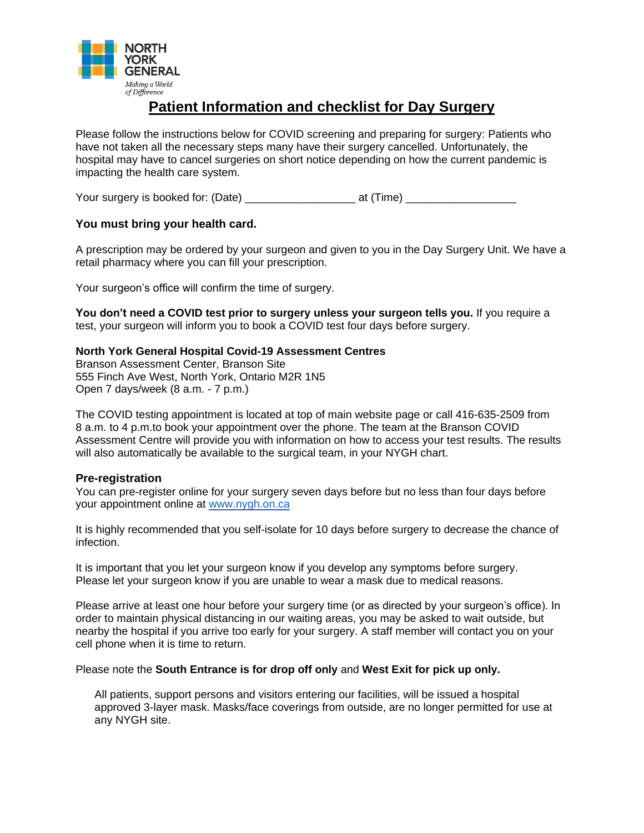

# **Patient Information and checklist for Day Surgery**

Please follow the instructions below for COVID screening and preparing for surgery: Patients who have not taken all the necessary steps many have their surgery cancelled. Unfortunately, the hospital may have to cancel surgeries on short notice depending on how the current pandemic is impacting the health care system.

Your surgery is booked for: (Date) \_\_\_\_\_\_\_\_\_\_\_\_\_\_ at (Time) \_\_\_\_\_\_\_\_\_\_\_\_\_\_\_\_\_\_\_\_

## **You must bring your health card.**

A prescription may be ordered by your surgeon and given to you in the Day Surgery Unit. We have a retail pharmacy where you can fill your prescription.

Your surgeon's office will confirm the time of surgery.

**You don't need a COVID test prior to surgery unless your surgeon tells you.** If you require a test, your surgeon will inform you to book a COVID test four days before surgery.

## **North York General Hospital Covid-19 Assessment Centres**

Branson Assessment Center, Branson Site 555 Finch Ave West, North York, Ontario M2R 1N5 Open 7 days/week (8 a.m. - 7 p.m.)

The COVID testing appointment is located at top of main website page or call 416-635-2509 from 8 a.m. to 4 p.m.to book your appointment over the phone. The team at the Branson COVID Assessment Centre will provide you with information on how to access your test results. The results will also automatically be available to the surgical team, in your NYGH chart.

## **Pre-registration**

You can pre-register online for your surgery seven days before but no less than four days before your appointment online at [www.nygh.on.ca](http://www.nygh.on.ca/)

It is highly recommended that you self-isolate for 10 days before surgery to decrease the chance of infection.

It is important that you let your surgeon know if you develop any symptoms before surgery. Please let your surgeon know if you are unable to wear a mask due to medical reasons.

Please arrive at least one hour before your surgery time (or as directed by your surgeon's office). In order to maintain physical distancing in our waiting areas, you may be asked to wait outside, but nearby the hospital if you arrive too early for your surgery. A staff member will contact you on your cell phone when it is time to return.

Please note the **South Entrance is for drop off only** and **West Exit for pick up only.** 

All patients, support persons and visitors entering our facilities, will be issued a hospital approved 3-layer mask. Masks/face coverings from outside, are no longer permitted for use at any NYGH site.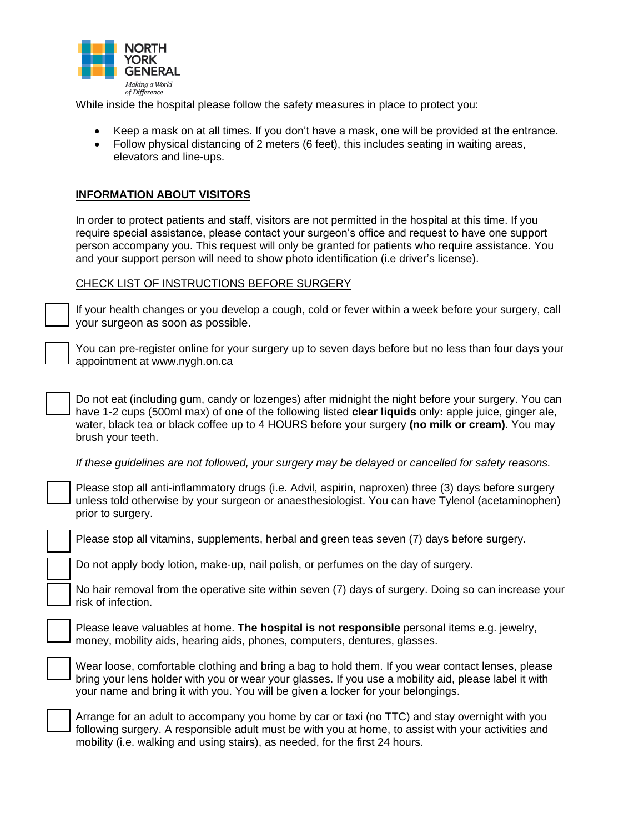

While inside the hospital please follow the safety measures in place to protect you:

- Keep a mask on at all times. If you don't have a mask, one will be provided at the entrance.
- Follow physical distancing of 2 meters (6 feet), this includes seating in waiting areas, elevators and line-ups.

#### **INFORMATION ABOUT VISITORS**

In order to protect patients and staff, visitors are not permitted in the hospital at this time. If you require special assistance, please contact your surgeon's office and request to have one support person accompany you. This request will only be granted for patients who require assistance. You and your support person will need to show photo identification (i.e driver's license).

#### CHECK LIST OF INSTRUCTIONS BEFORE SURGERY

If your health changes or you develop a cough, cold or fever within a week before your surgery, call your surgeon as soon as possible.

You can pre-register online for your surgery up to seven days before but no less than four days your appointment at www.nygh.on.ca

Do not eat (including gum, candy or lozenges) after midnight the night before your surgery. You can have 1-2 cups (500ml max) of one of the following listed **clear liquids** only**:** apple juice, ginger ale, water, black tea or black coffee up to 4 HOURS before your surgery **(no milk or cream)**. You may brush your teeth.

*If these guidelines are not followed, your surgery may be delayed or cancelled for safety reasons.* 

Please stop all anti-inflammatory drugs (i.e. Advil, aspirin, naproxen) three (3) days before surgery unless told otherwise by your surgeon or anaesthesiologist. You can have Tylenol (acetaminophen) prior to surgery.

Please stop all vitamins, supplements, herbal and green teas seven (7) days before surgery.

Do not apply body lotion, make-up, nail polish, or perfumes on the day of surgery.

No hair removal from the operative site within seven (7) days of surgery. Doing so can increase your risk of infection.

Please leave valuables at home. **The hospital is not responsible** personal items e.g. jewelry, money, mobility aids, hearing aids, phones, computers, dentures, glasses.

Wear loose, comfortable clothing and bring a bag to hold them. If you wear contact lenses, please bring your lens holder with you or wear your glasses. If you use a mobility aid, please label it with your name and bring it with you. You will be given a locker for your belongings.



Arrange for an adult to accompany you home by car or taxi (no TTC) and stay overnight with you following surgery. A responsible adult must be with you at home, to assist with your activities and mobility (i.e. walking and using stairs), as needed, for the first 24 hours.